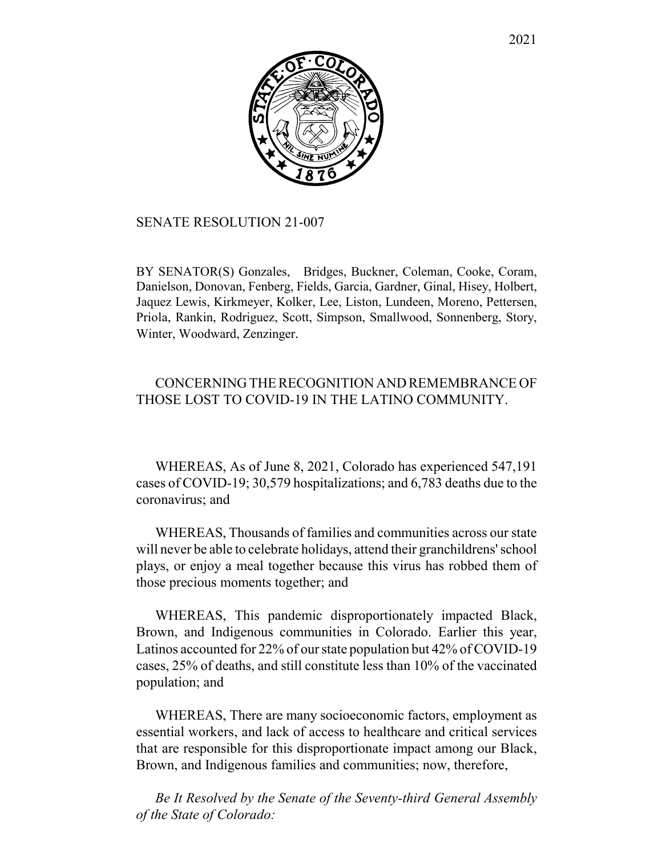

## SENATE RESOLUTION 21-007

BY SENATOR(S) Gonzales, Bridges, Buckner, Coleman, Cooke, Coram, Danielson, Donovan, Fenberg, Fields, Garcia, Gardner, Ginal, Hisey, Holbert, Jaquez Lewis, Kirkmeyer, Kolker, Lee, Liston, Lundeen, Moreno, Pettersen, Priola, Rankin, Rodriguez, Scott, Simpson, Smallwood, Sonnenberg, Story, Winter, Woodward, Zenzinger.

## CONCERNING THE RECOGNITION AND REMEMBRANCE OF THOSE LOST TO COVID-19 IN THE LATINO COMMUNITY.

WHEREAS, As of June 8, 2021, Colorado has experienced 547,191 cases of COVID-19; 30,579 hospitalizations; and 6,783 deaths due to the coronavirus; and

WHEREAS, Thousands of families and communities across our state will never be able to celebrate holidays, attend their granchildrens' school plays, or enjoy a meal together because this virus has robbed them of those precious moments together; and

WHEREAS, This pandemic disproportionately impacted Black, Brown, and Indigenous communities in Colorado. Earlier this year, Latinos accounted for 22% of our state population but 42% of COVID-19 cases, 25% of deaths, and still constitute less than 10% of the vaccinated population; and

WHEREAS, There are many socioeconomic factors, employment as essential workers, and lack of access to healthcare and critical services that are responsible for this disproportionate impact among our Black, Brown, and Indigenous families and communities; now, therefore,

*Be It Resolved by the Senate of the Seventy-third General Assembly of the State of Colorado:*